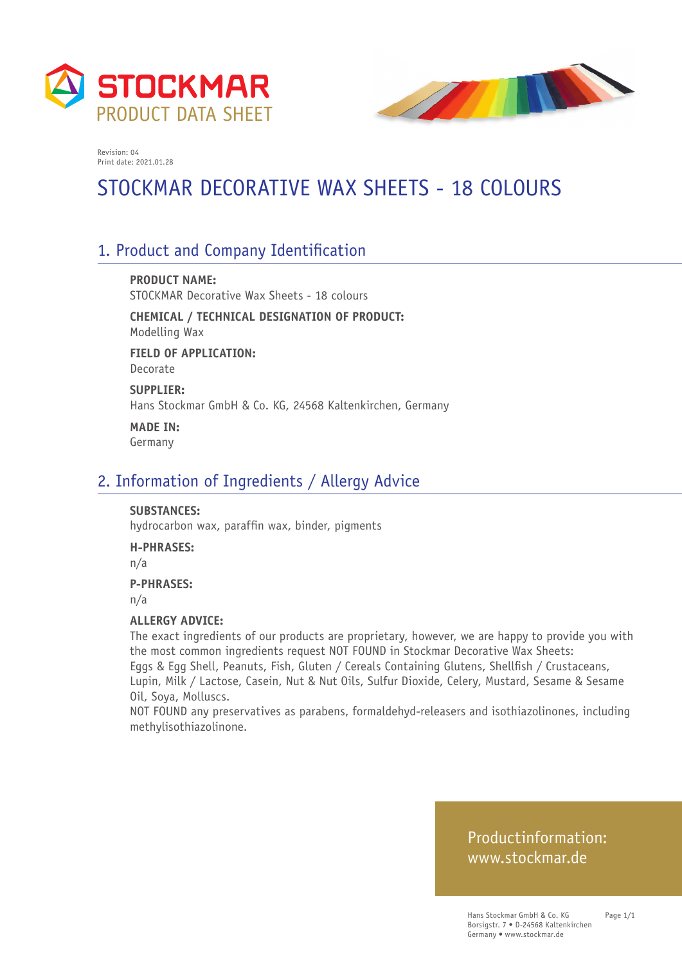



# STOCKMAR DECORATIVE WAX SHEETS - 18 COLOURS

### 1. Product and Company Identification

**PRODUCT NAME:** STOCKMAR Decorative Wax Sheets - 18 colours

**CHEMICAL / TECHNICAL DESIGNATION OF PRODUCT:** Modelling Wax

**FIELD OF APPLICATION:** Decorate

**SUPPLIER:** Hans Stockmar GmbH & Co. KG, 24568 Kaltenkirchen, Germany

**MADE IN:** Germany

#### 2. Information of Ingredients / Allergy Advice

#### **SUBSTANCES:**

hydrocarbon wax, paraffin wax, binder, pigments

**H-PHRASES:**

n/a

#### **P-PHRASES:**

n/a

#### **ALLERGY ADVICE:**

The exact ingredients of our products are proprietary, however, we are happy to provide you with the most common ingredients request NOT FOUND in Stockmar Decorative Wax Sheets: Eggs & Egg Shell, Peanuts, Fish, Gluten / Cereals Containing Glutens, Shellfish / Crustaceans, Lupin, Milk / Lactose, Casein, Nut & Nut Oils, Sulfur Dioxide, Celery, Mustard, Sesame & Sesame Oil, Soya, Molluscs.

NOT FOUND any preservatives as parabens, formaldehyd-releasers and isothiazolinones, including methylisothiazolinone.

### Productinformation: www.stockmar.de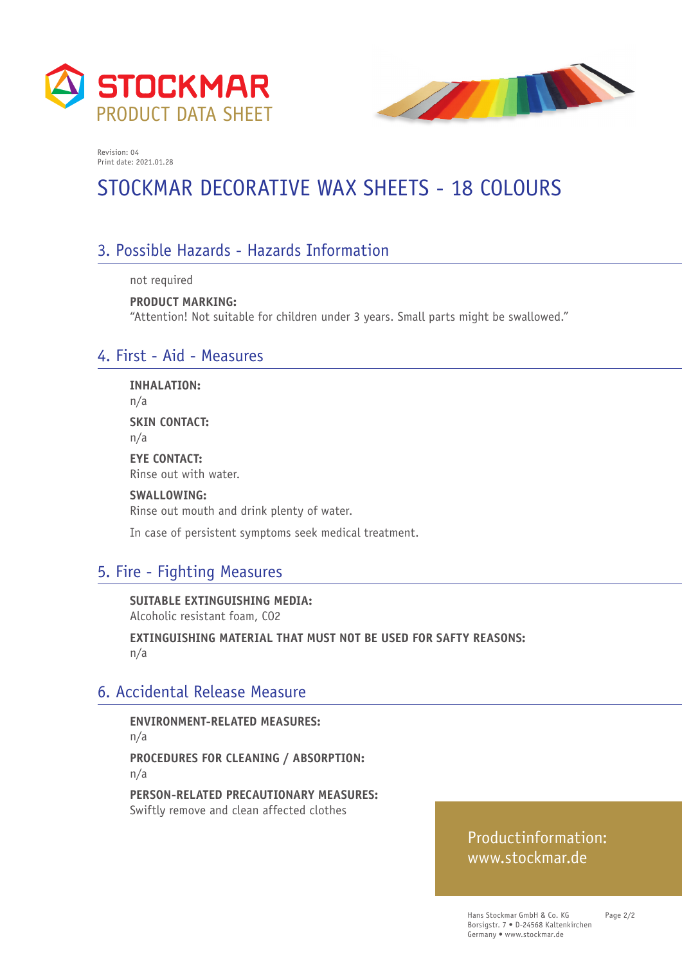



# STOCKMAR DECORATIVE WAX SHEETS - 18 COLOURS

### 3. Possible Hazards - Hazards Information

not required

**PRODUCT MARKING:**  "Attention! Not suitable for children under 3 years. Small parts might be swallowed."

### 4. First - Aid - Measures

**INHALATION:** n/a **SKIN CONTACT:** n/a **EYE CONTACT:** Rinse out with water. **SWALLOWING:** Rinse out mouth and drink plenty of water.

In case of persistent symptoms seek medical treatment.

## 5. Fire - Fighting Measures

**SUITABLE EXTINGUISHING MEDIA:**  Alcoholic resistant foam, CO2

**EXTINGUISHING MATERIAL THAT MUST NOT BE USED FOR SAFTY REASONS:**  n/a

#### 6. Accidental Release Measure

**ENVIRONMENT-RELATED MEASURES:**  n/a **PROCEDURES FOR CLEANING / ABSORPTION:**  n/a

**PERSON-RELATED PRECAUTIONARY MEASURES:**  Swiftly remove and clean affected clothes

### Productinformation: www.stockmar.de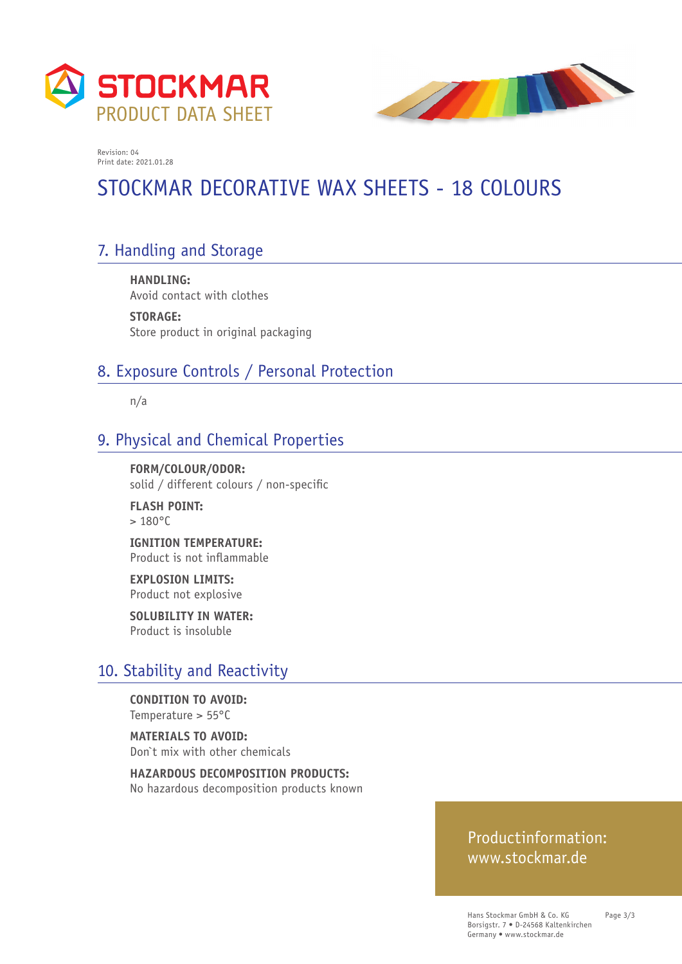



# STOCKMAR DECORATIVE WAX SHEETS - 18 COLOURS

## 7. Handling and Storage

**HANDLING:**  Avoid contact with clothes

**STORAGE:**  Store product in original packaging

### 8. Exposure Controls / Personal Protection

n/a

### 9. Physical and Chemical Properties

**FORM/COLOUR/ODOR:**  solid / different colours / non-specific

**FLASH POINT:**   $> 180^{\circ}$ C

**IGNITION TEMPERATURE:**  Product is not inflammable

**EXPLOSION LIMITS:**  Product not explosive

**SOLUBILITY IN WATER:**  Product is insoluble

### 10. Stability and Reactivity

**CONDITION TO AVOID:**  Temperature > 55°C

**MATERIALS TO AVOID:**  Don`t mix with other chemicals

**HAZARDOUS DECOMPOSITION PRODUCTS:**  No hazardous decomposition products known

#### Productinformation: www.stockmar.de

Hans Stockmar GmbH & Co. KG Borsigstr. 7 • D-24568 Kaltenkirchen Germany • www.stockmar.de